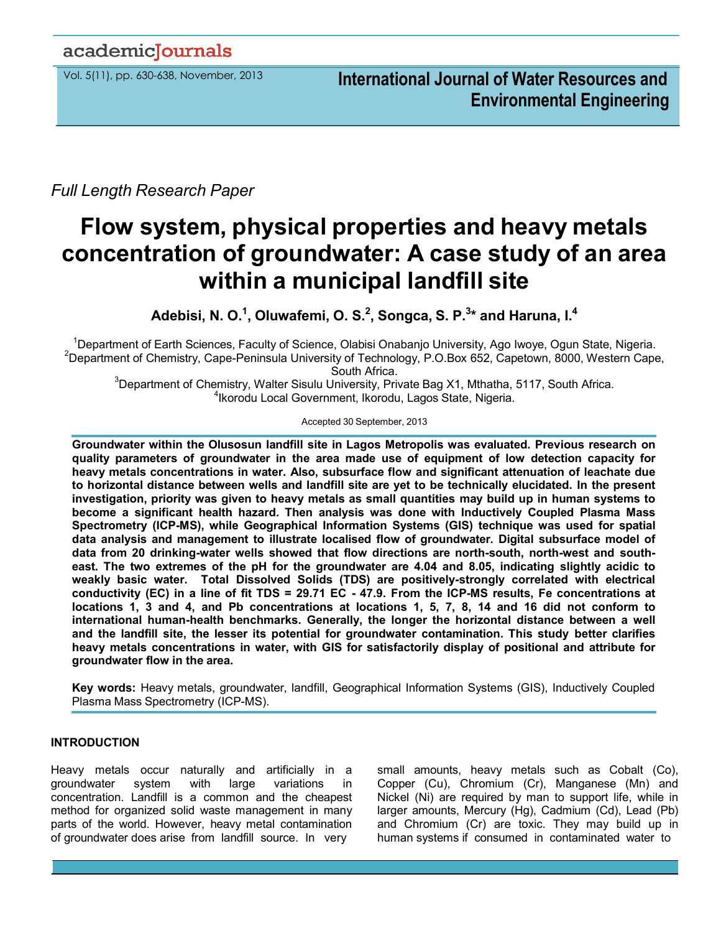# academiclournals

*Full Length Research Paper*

# **Flow system, physical properties and heavy metals concentration of groundwater: A case study of an area within a municipal landfill site**

**Adebisi, N. O.<sup>1</sup> , Oluwafemi, O. S.<sup>2</sup> , Songca, S. P.<sup>3</sup> \* and Haruna, I.<sup>4</sup>**

<sup>1</sup>Department of Earth Sciences, Faculty of Science, Olabisi Onabanjo University, Ago Iwoye, Ogun State, Nigeria. <sup>2</sup>Department of Chemistry, Cape-Peninsula University of Technology, P.O.Box 652, Capetown, 8000, Western Cape, South Africa.

 $3$ Department of Chemistry, Walter Sisulu University, Private Bag X1, Mthatha, 5117, South Africa. 4 Ikorodu Local Government, Ikorodu, Lagos State, Nigeria.

Accepted 30 September, 2013

**Groundwater within the Olusosun landfill site in Lagos Metropolis was evaluated. Previous research on quality parameters of groundwater in the area made use of equipment of low detection capacity for heavy metals concentrations in water. Also, subsurface flow and significant attenuation of leachate due to horizontal distance between wells and landfill site are yet to be technically elucidated. In the present investigation, priority was given to heavy metals as small quantities may build up in human systems to become a significant health hazard. Then analysis was done with Inductively Coupled Plasma Mass Spectrometry (ICP-MS), while Geographical Information Systems (GIS) technique was used for spatial data analysis and management to illustrate localised flow of groundwater. Digital subsurface model of data from 20 drinking-water wells showed that flow directions are north-south, north-west and southeast. The two extremes of the pH for the groundwater are 4.04 and 8.05, indicating slightly acidic to weakly basic water. Total Dissolved Solids (TDS) are positively-strongly correlated with electrical conductivity (EC) in a line of fit TDS = 29.71 EC - 47.9. From the ICP-MS results, Fe concentrations at locations 1, 3 and 4, and Pb concentrations at locations 1, 5, 7, 8, 14 and 16 did not conform to international human-health benchmarks. Generally, the longer the horizontal distance between a well and the landfill site, the lesser its potential for groundwater contamination. This study better clarifies heavy metals concentrations in water, with GIS for satisfactorily display of positional and attribute for groundwater flow in the area.**

**Key words:** Heavy metals, groundwater, landfill, Geographical Information Systems (GIS), Inductively Coupled Plasma Mass Spectrometry (ICP-MS).

# **INTRODUCTION**

Heavy metals occur naturally and artificially in a groundwater system with large variations in concentration. Landfill is a common and the cheapest method for organized solid waste management in many parts of the world. However, heavy metal contamination of groundwater does arise from landfill source. In very

small amounts, heavy metals such as Cobalt (Co), Copper (Cu), Chromium (Cr), Manganese (Mn) and Nickel (Ni) are required by man to support life, while in larger amounts, Mercury (Hg), Cadmium (Cd), Lead (Pb) and Chromium (Cr) are toxic. They may build up in human systems if consumed in contaminated water to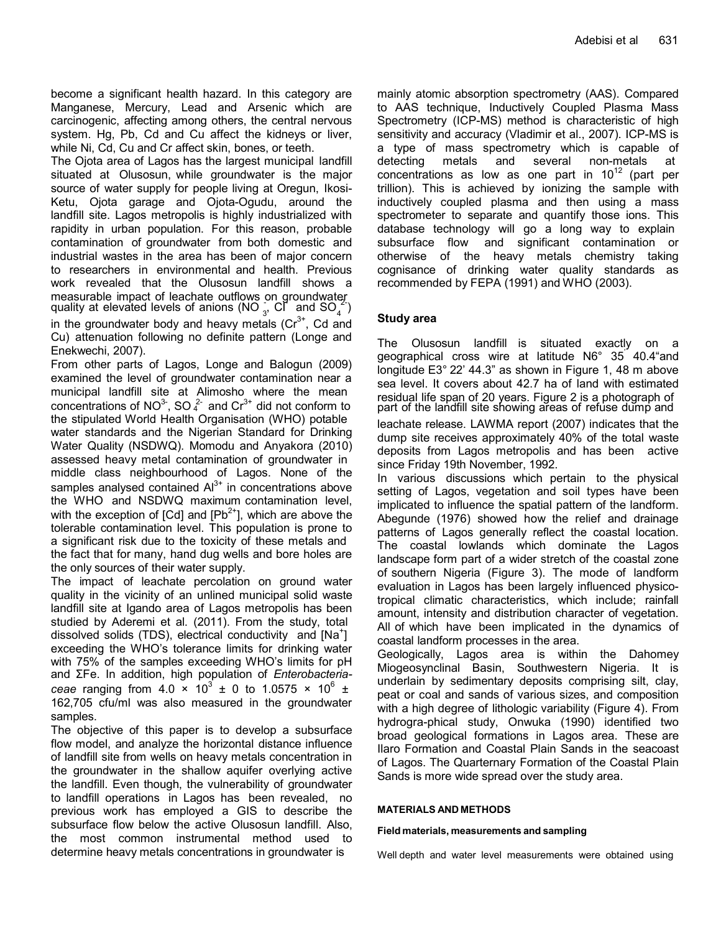become a significant health hazard. In this category are Manganese, Mercury, Lead and Arsenic which are carcinogenic, affecting among others, the central nervous system. Hg, Pb, Cd and Cu affect the kidneys or liver, while Ni, Cd, Cu and Cr affect skin, bones, or teeth.

quality at elevated levels of anions ( $\overline{NO}_{3}^{3}$ ,  $\overline{Cl}^{3}$  and  $\overline{SO}_{4}^{2}$ ) The Ojota area of Lagos has the largest municipal landfill situated at Olusosun, while groundwater is the major source of water supply for people living at Oregun, Ikosi-Ketu, Ojota garage and Ojota-Ogudu, around the landfill site. Lagos metropolis is highly industrialized with rapidity in urban population. For this reason, probable contamination of groundwater from both domestic and industrial wastes in the area has been of major concern to researchers in environmental and health. Previous work revealed that the Olusosun landfill shows a measurable impact of leachate outflows on groundwater in the groundwater body and heavy metals  $(Cr^{3+})$ , Cd and

Cu) attenuation following no definite pattern (Longe and Enekwechi, 2007).

concentrations of NO $3$ <sup>-</sup>, SO  $_4^2$ From other parts of Lagos, Longe and Balogun (2009) examined the level of groundwater contamination near a municipal landfill site at Alimosho where the mean the stipulated World Health Organisation (WHO) potable water standards and the Nigerian Standard for Drinking Water Quality (NSDWQ). Momodu and Anyakora (2010) assessed heavy metal contamination of groundwater in middle class neighbourhood of Lagos. None of the samples analysed contained  $Al^{3+}$  in concentrations above the WHO and NSDWQ maximum contamination level, with the exception of  $[Cd]$  and  $[Pb^{2+}]$ , which are above the tolerable contamination level. This population is prone to a significant risk due to the toxicity of these metals and the fact that for many, hand dug wells and bore holes are the only sources of their water supply.

The impact of leachate percolation on ground water quality in the vicinity of an unlined municipal solid waste landfill site at Igando area of Lagos metropolis has been studied by Aderemi et al. (2011). From the study, total dissolved solids (TDS), electrical conductivity and [Na<sup>+</sup>] exceeding the WHO's tolerance limits for drinking water with 75% of the samples exceeding WHO's limits for pH and ΣFe. In addition, high population of *Enterobacteriaceae* ranging from 4.0  $\times$  10<sup>3</sup>  $\pm$  0 to 1.0575  $\times$  10<sup>6</sup>  $\pm$ 162,705 cfu/ml was also measured in the groundwater samples.

The objective of this paper is to develop a subsurface flow model, and analyze the horizontal distance influence of landfill site from wells on heavy metals concentration in the groundwater in the shallow aquifer overlying active the landfill. Even though, the vulnerability of groundwater to landfill operations in Lagos has been revealed, no previous work has employed a GIS to describe the subsurface flow below the active Olusosun landfill. Also, the most common instrumental method used to determine heavy metals concentrations in groundwater is

mainly atomic absorption spectrometry (AAS). Compared to AAS technique, Inductively Coupled Plasma Mass Spectrometry (ICP-MS) method is characteristic of high sensitivity and accuracy (Vladimir et al., 2007). ICP-MS is a type of [mass spectrometry w](http://en.wikipedia.org/wiki/Mass_spectrometry)hich is capable of detecting [metals a](http://en.wikipedia.org/wiki/Metals)nd several [non-metals a](http://en.wikipedia.org/wiki/Non-metals)t concentrations as low as one part in  $10^{12}$  (part per trillion). This is achieved by [ionizing t](http://en.wikipedia.org/wiki/Ionization)he sample with [inductively coupled plasma a](http://en.wikipedia.org/wiki/Inductively_coupled_plasma)nd then using a [mass](http://en.wikipedia.org/wiki/Mass_spectrometer) [spectrometer t](http://en.wikipedia.org/wiki/Mass_spectrometer)o separate and quantify those ions. This [database t](http://en.wikipedia.org/wiki/Database)echnology will go a long way to explain subsurface flow and significant contamination or otherwise of the heavy metals chemistry taking cognisance of drinking water quality standards as recommended by FEPA (1991) and WHO (2003).

# **Study area**

The Olusosun landfill is situated exactly on a geographical cross wire at latitude N6° 35' 40.4"and longitude E3° 22' 44.3" as shown in Figure 1, 48 m above sea level. It covers about 42.7 ha of land with estimated residual life span of 20 years. Figure 2 is a photograph of part of the landfill site showing areas of refuse dump and

leachate release. LAWMA report (2007) indicates that the dump site receives approximately 40% of the total waste deposits from Lagos metropolis and has been active since Friday 19th November, 1992.

In various discussions which pertain to the physical setting of Lagos, vegetation and soil types have been implicated to influence the spatial pattern of the landform. Abegunde (1976) showed how the relief and drainage patterns of Lagos generally reflect the coastal location. The coastal lowlands which dominate the Lagos landscape form part of a wider stretch of the coastal zone of southern Nigeria (Figure 3). The mode of landform evaluation in Lagos has been largely influenced physicotropical climatic characteristics, which include; rainfall amount, intensity and distribution character of vegetation. All of which have been implicated in the dynamics of coastal landform processes in the area.

Geologically, Lagos area is within the Dahomey Miogeosynclinal Basin, Southwestern Nigeria. It is underlain by sedimentary deposits comprising silt, clay, peat or coal and sands of various sizes, and composition with a high degree of lithologic variability (Figure 4). From hydrogra-phical study, Onwuka (1990) identified two broad geological formations in Lagos area. These are Ilaro Formation and Coastal Plain Sands in the seacoast of Lagos. The Quarternary Formation of the Coastal Plain Sands is more wide spread over the study area.

#### **MATERIALS AND METHODS**

#### **Field materials, measurements and sampling**

Well depth and water level measurements were obtained using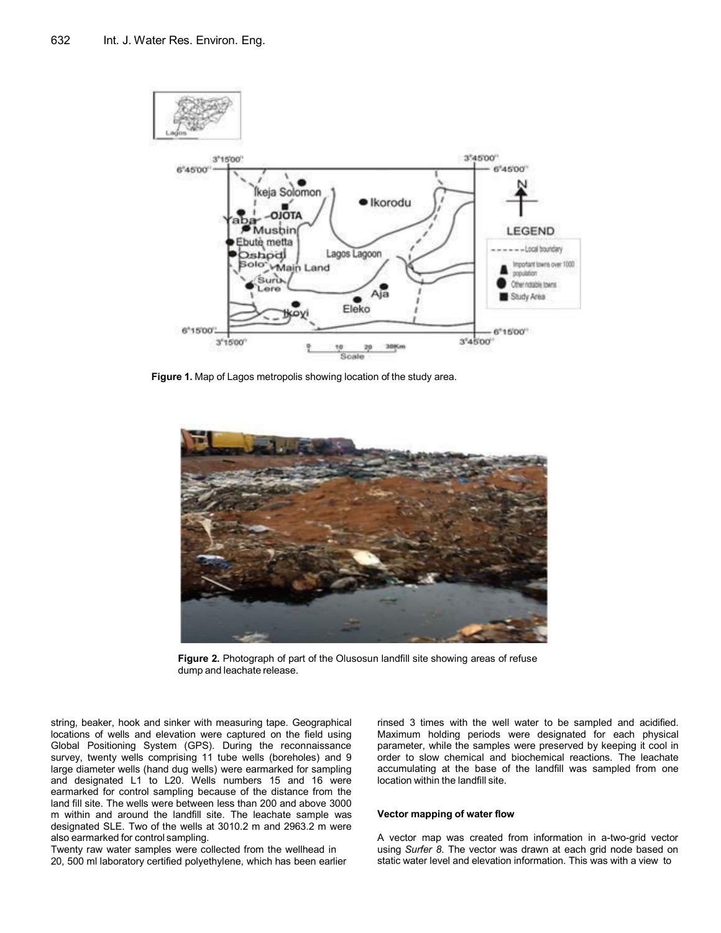

**Figure 1.** Map of Lagos metropolis showing location of the study area.



**Figure 2.** Photograph of part of the Olusosun landfill site showing areas of refuse dump and leachate release.

string, beaker, hook and sinker with measuring tape. Geographical locations of wells and elevation were captured on the field using Global Positioning System (GPS). During the reconnaissance survey, twenty wells comprising 11 tube wells (boreholes) and 9 large diameter wells (hand dug wells) were earmarked for sampling and designated L1 to L20. Wells numbers 15 and 16 were earmarked for control sampling because of the distance from the land fill site. The wells were between less than 200 and above 3000 m within and around the landfill site. The leachate sample was designated SLE. Two of the wells at 3010.2 m and 2963.2 m were also earmarked for control sampling.

Twenty raw water samples were collected from the wellhead in 20, 500 ml laboratory certified polyethylene, which has been earlier

rinsed 3 times with the well water to be sampled and acidified. Maximum holding periods were designated for each physical parameter, while the samples were preserved by keeping it cool in order to slow chemical and biochemical reactions. The leachate accumulating at the base of the landfill was sampled from one location within the landfill site.

#### **Vector mapping of water flow**

A vector map was created from information in a-two-grid vector using *Surfer 8*. The vector was drawn at each grid node based on static water level and elevation information. This was with a view to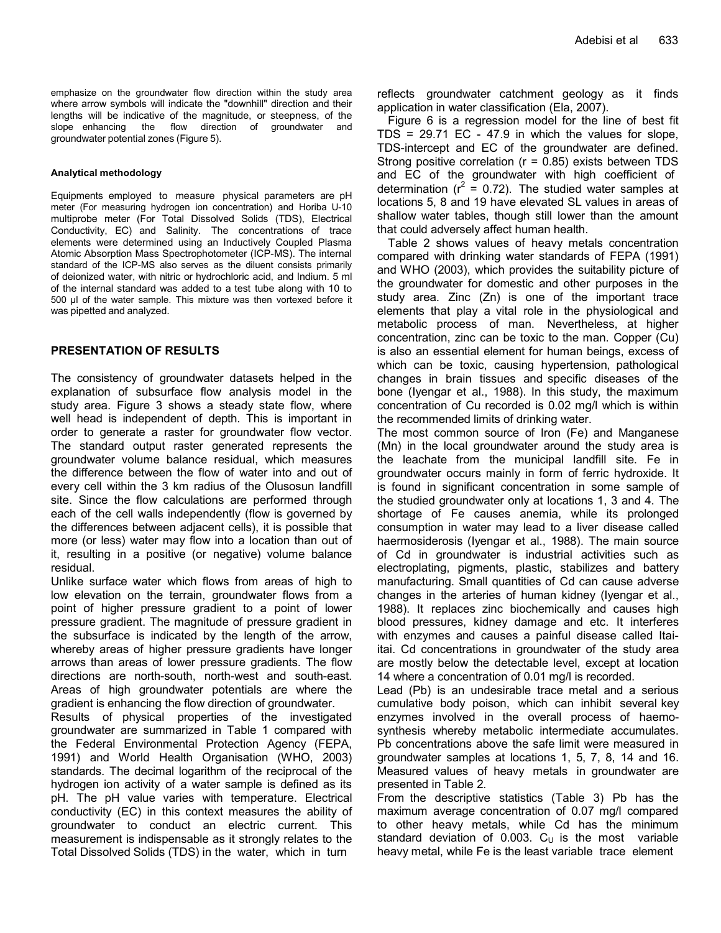emphasize on the groundwater flow direction within the study area where arrow symbols will indicate the "downhill" direction and their lengths will be indicative of the magnitude, or steepness, of the slope enhancing the flow direction of groundwater and groundwater potential zones (Figure 5).

#### **Analytical methodology**

Equipments employed to measure physical parameters are pH meter (For measuring hydrogen ion concentration) and Horiba U-10 multiprobe meter (For Total Dissolved Solids (TDS), Electrical Conductivity, EC) and Salinity. The concentrations of trace elements were determined using an Inductively Coupled Plasma Atomic Absorption Mass Spectrophotometer (ICP-MS). The internal standard of the ICP-MS also serves as the diluent consists primarily o[f deionized water, w](http://en.wikipedia.org/wiki/Deionized_water)ith nitric or hydrochloric acid, and Indium. 5 ml of the internal standard was added to a test tube along with 10 to 500 µl of the water sample. This mixture was then vortexed before it was pipetted and analyzed.

#### **PRESENTATION OF RESULTS**

The consistency of groundwater datasets helped in the explanation of subsurface flow analysis model in the study area. Figure 3 shows a steady state flow, where well head is independent of depth. This is important in order to generate a raster for groundwater flow vector. The standard output raster generated represents the groundwater volume balance residual, which measures the difference between the flow of water into and out of every cell within the 3 km radius of the Olusosun landfill site. Since the flow calculations are performed through each of the cell walls independently (flow is governed by the differences between adjacent cells), it is possible that more (or less) water may flow into a location than out of it, resulting in a positive (or negative) volume balance residual.

Unlike surface water which flows from areas of high to low elevation on the terrain, groundwater flows from a point of higher pressure gradient to a point of lower pressure gradient. The magnitude of pressure gradient in the subsurface is indicated by the length of the arrow, whereby areas of higher pressure gradients have longer arrows than areas of lower pressure gradients. The flow directions are north-south, north-west and south-east. Areas of high groundwater potentials are where the gradient is enhancing the flow direction of groundwater.

Results of physical properties of the investigated groundwater are summarized in Table 1 compared with the Federal Environmental Protection Agency (FEPA, 1991) and World Health Organisation (WHO, 2003) standards. The decimal [logarithm o](http://en.wikipedia.org/wiki/Logarithm)f the reciprocal of the [hydrogen ion activity o](http://en.wikipedia.org/wiki/Hydrogen_ion)f a water sample is defined as its pH. The pH value varies with temperature. Electrical conductivity (EC) in this context measures the ability of groundwater to conduct an electric current. This measurement is indispensable as it strongly relates to the Total Dissolved Solids (TDS) in the water, which in turn

reflects groundwater catchment geology as it finds application in water classification (Ela, 2007).

Figure 6 is a regression model for the line of best fit TDS = 29.71 EC - 47.9 in which the values for slope, TDS-intercept and EC of the groundwater are defined. Strong positive correlation (r = 0.85) exists between TDS and EC of the groundwater with high coefficient of determination ( $r^2 = 0.72$ ). The studied water samples at locations 5, 8 and 19 have elevated SL values in areas of shallow water tables, though still lower than the amount that could adversely affect human health.

Table 2 shows values of heavy metals concentration compared with drinking water standards of FEPA (1991) and WHO (2003), which provides the suitability picture of the groundwater for domestic and other purposes in the study area. Zinc (Zn) is one of the important trace elements that play a vital role in the physiological and metabolic process of man. Nevertheless, at higher concentration, zinc can be toxic to the man. Copper (Cu) is also an essential element for human beings, excess of which can be toxic, causing hypertension, pathological changes in brain tissues and specific diseases of the bone (Iyengar et al., 1988). In this study, the maximum concentration of Cu recorded is 0.02 mg/l which is within the recommended limits of drinking water.

The most common source of Iron (Fe) and Manganese (Mn) in the local groundwater around the study area is the leachate from the municipal landfill site. Fe in groundwater occurs mainly in form of ferric hydroxide. It is found in significant concentration in some sample of the studied groundwater only at locations 1, 3 and 4. The shortage of Fe causes anemia, while its prolonged consumption in water may lead to a liver disease called haermosiderosis (Iyengar et al., 1988). The main source of Cd in groundwater is industrial activities such as electroplating, pigments, plastic, stabilizes and battery manufacturing. Small quantities of Cd can cause adverse changes in the arteries of human kidney (Iyengar et al., 1988). It replaces zinc biochemically and causes high blood pressures, kidney damage and etc. It interferes with enzymes and causes a painful disease called Itaiitai. Cd concentrations in groundwater of the study area are mostly below the detectable level, except at location 14 where a concentration of 0.01 mg/l is recorded.

Lead (Pb) is an undesirable trace metal and a serious cumulative body poison, which can inhibit several key enzymes involved in the overall process of haemosynthesis whereby metabolic intermediate accumulates. Pb concentrations above the safe limit were measured in groundwater samples at locations 1, 5, 7, 8, 14 and 16. Measured values of heavy metals in groundwater are presented in Table 2.

From the descriptive statistics (Table 3) Pb has the maximum average concentration of 0.07 mg/l compared to other heavy metals, while Cd has the minimum standard deviation of 0.003.  $C_U$  is the most variable heavy metal, while Fe is the least variable trace element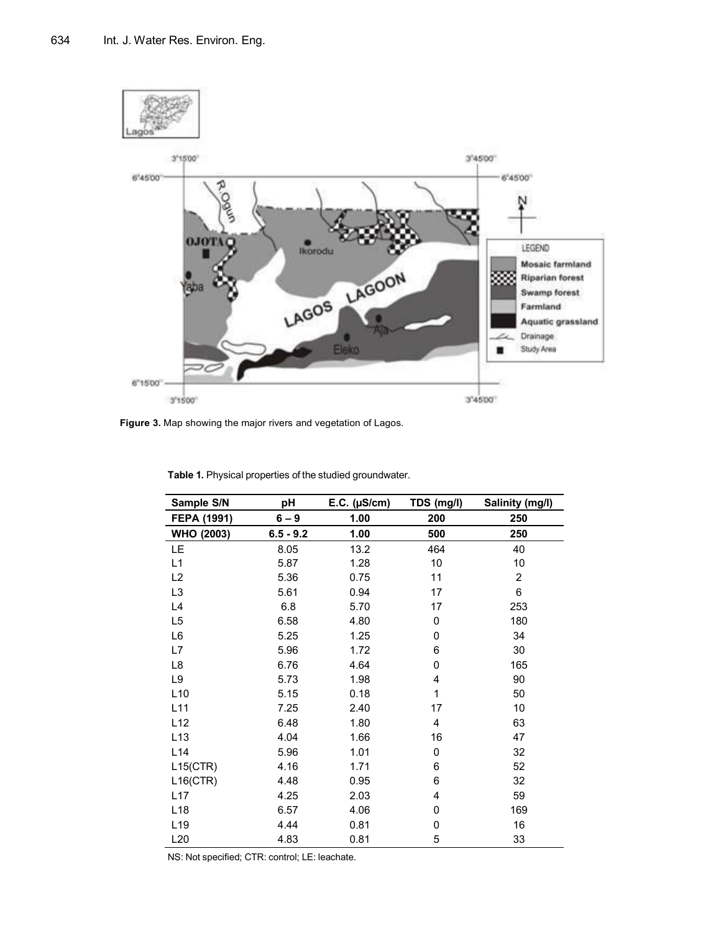

**Figure 3.** Map showing the major rivers and vegetation of Lagos.

| Sample S/N                       | $E.C.$ ( $\mu S/cm$ )<br>pH |      | TDS (mg/l) | Salinity (mg/l) |  |
|----------------------------------|-----------------------------|------|------------|-----------------|--|
| FEPA (1991)                      | $6 - 9$                     | 1.00 | 200        | 250             |  |
| <b>WHO (2003)</b><br>$6.5 - 9.2$ |                             | 1.00 | 500        | 250             |  |
| LE.                              | 8.05                        | 13.2 | 464        | 40              |  |
| L1                               | 5.87                        | 1.28 | 10         | 10              |  |
| L2                               | 5.36                        | 0.75 | 11         | 2               |  |
| L <sub>3</sub>                   | 5.61                        | 0.94 | 17         | 6               |  |
| L4                               | 6.8                         | 5.70 | 17         | 253             |  |
| L <sub>5</sub>                   | 6.58                        | 4.80 | 0          | 180             |  |
| L6                               | 5.25                        | 1.25 | 0          | 34              |  |
| L7                               | 5.96                        | 1.72 | 6          | 30              |  |
| L8                               | 6.76                        | 4.64 | 0          | 165             |  |
| L9                               | 5.73                        | 1.98 | 4          | 90              |  |
| L10                              | 5.15                        | 0.18 | 1          | 50              |  |
| L11                              | 7.25                        | 2.40 | 17         | 10              |  |
| L12                              | 6.48                        | 1.80 | 4          | 63              |  |
| L <sub>13</sub>                  | 4.04                        | 1.66 | 16         | 47              |  |
| L14                              | 5.96                        | 1.01 | 0          | 32              |  |
| L15(CTR)                         | 4.16                        | 1.71 | 6          | 52              |  |
| $L16$ (CTR)                      | 4.48                        | 0.95 | 6          | 32              |  |
| L17                              | 4.25                        | 2.03 | 4          | 59              |  |
| L <sub>18</sub>                  | 6.57                        | 4.06 | 0          | 169             |  |
| L <sub>19</sub>                  | 4.44                        | 0.81 | 0          | 16              |  |
| L20                              | 4.83                        | 0.81 | 5          | 33              |  |

**Table 1.** Physical properties of the studied groundwater.

NS: Not specified; CTR: control; LE: leachate.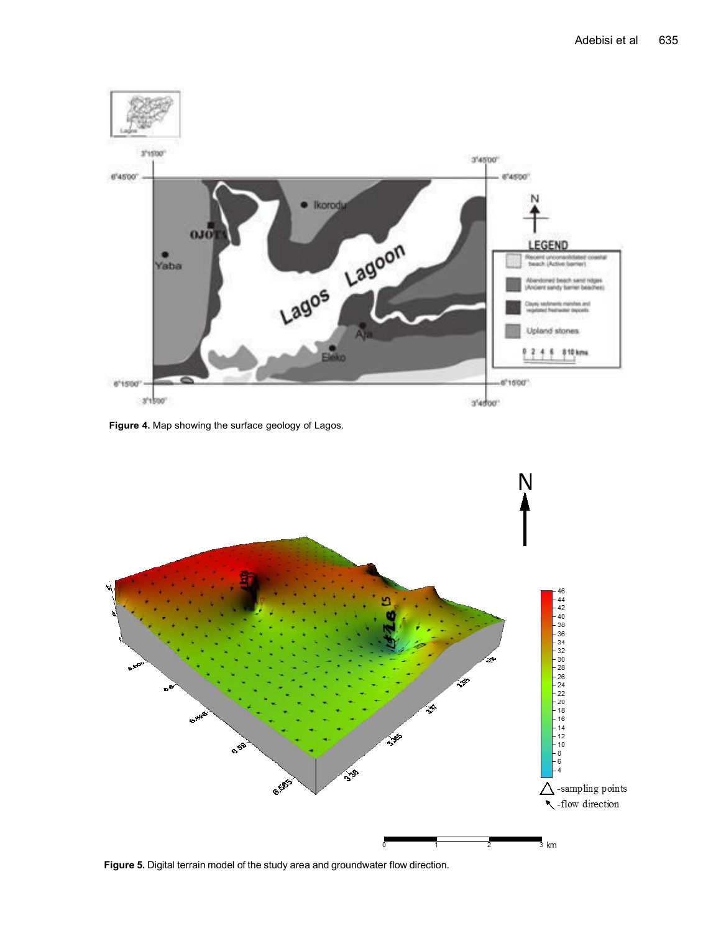

**Figure 4.** Map showing the surface geology of Lagos.



**Figure 5.** Digital terrain model of the study area and groundwater flow direction.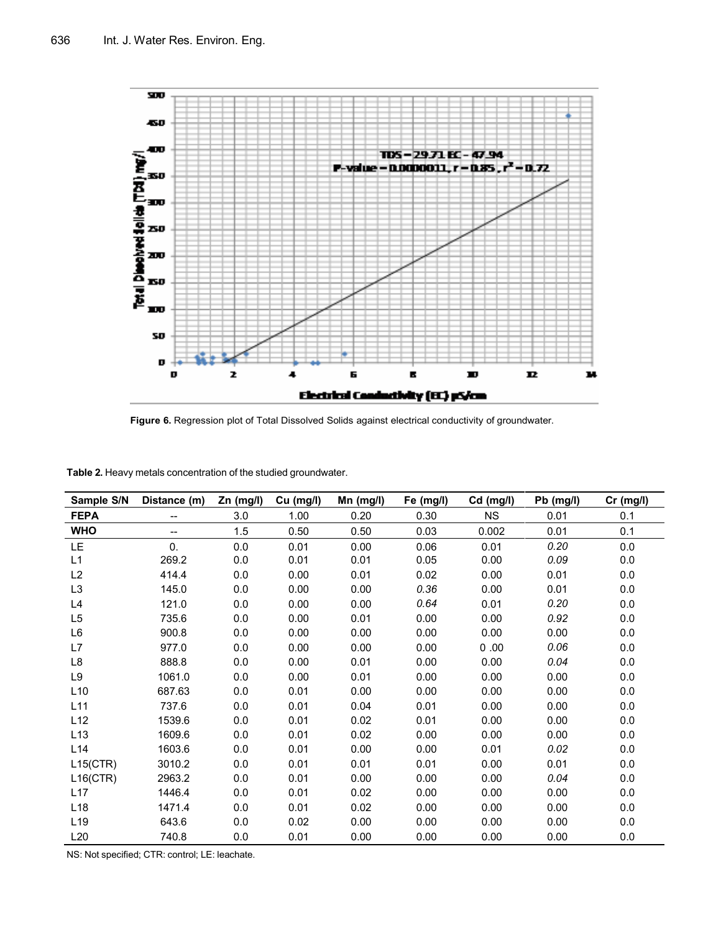

**Figure 6.** Regression plot of Total Dissolved Solids against electrical conductivity of groundwater.

| Sample S/N      | Distance (m) | Zn (mg/l) | Cu (mg/l) | Mn (mg/l) | Fe (mg/l) | Cd (mg/l) | Pb (mg/l) | $Cr$ (mg/l) |
|-----------------|--------------|-----------|-----------|-----------|-----------|-----------|-----------|-------------|
| <b>FEPA</b>     | $- -$        | 3.0       | 1.00      | 0.20      | 0.30      | <b>NS</b> | 0.01      | 0.1         |
| <b>WHO</b>      | $-$          | 1.5       | 0.50      | 0.50      | 0.03      | 0.002     | 0.01      | 0.1         |
| <b>LE</b>       | 0.           | 0.0       | 0.01      | 0.00      | 0.06      | 0.01      | 0.20      | 0.0         |
| L1              | 269.2        | 0.0       | 0.01      | 0.01      | 0.05      | 0.00      | 0.09      | 0.0         |
| L2              | 414.4        | 0.0       | 0.00      | 0.01      | 0.02      | 0.00      | 0.01      | 0.0         |
| L <sub>3</sub>  | 145.0        | 0.0       | 0.00      | 0.00      | 0.36      | 0.00      | 0.01      | 0.0         |
| L4              | 121.0        | 0.0       | 0.00      | 0.00      | 0.64      | 0.01      | 0.20      | 0.0         |
| L <sub>5</sub>  | 735.6        | 0.0       | 0.00      | 0.01      | 0.00      | 0.00      | 0.92      | 0.0         |
| L6              | 900.8        | 0.0       | 0.00      | 0.00      | 0.00      | 0.00      | 0.00      | 0.0         |
| L7              | 977.0        | 0.0       | 0.00      | 0.00      | 0.00      | 0.00      | 0.06      | 0.0         |
| L8              | 888.8        | 0.0       | 0.00      | 0.01      | 0.00      | 0.00      | 0.04      | 0.0         |
| L9              | 1061.0       | 0.0       | 0.00      | 0.01      | 0.00      | 0.00      | 0.00      | 0.0         |
| L10             | 687.63       | 0.0       | 0.01      | 0.00      | 0.00      | 0.00      | 0.00      | 0.0         |
| L11             | 737.6        | 0.0       | 0.01      | 0.04      | 0.01      | 0.00      | 0.00      | 0.0         |
| L12             | 1539.6       | 0.0       | 0.01      | 0.02      | 0.01      | 0.00      | 0.00      | 0.0         |
| L13             | 1609.6       | 0.0       | 0.01      | 0.02      | 0.00      | 0.00      | 0.00      | 0.0         |
| L14             | 1603.6       | 0.0       | 0.01      | 0.00      | 0.00      | 0.01      | 0.02      | 0.0         |
| L15(CTR)        | 3010.2       | 0.0       | 0.01      | 0.01      | 0.01      | 0.00      | 0.01      | 0.0         |
| $L16$ (CTR)     | 2963.2       | 0.0       | 0.01      | 0.00      | 0.00      | 0.00      | 0.04      | 0.0         |
| L17             | 1446.4       | 0.0       | 0.01      | 0.02      | 0.00      | 0.00      | 0.00      | 0.0         |
| L <sub>18</sub> | 1471.4       | 0.0       | 0.01      | 0.02      | 0.00      | 0.00      | 0.00      | 0.0         |
| L <sub>19</sub> | 643.6        | 0.0       | 0.02      | 0.00      | 0.00      | 0.00      | 0.00      | 0.0         |
| L20             | 740.8        | 0.0       | 0.01      | 0.00      | 0.00      | 0.00      | 0.00      | 0.0         |

**Table 2.** Heavy metals concentration of the studied groundwater.

NS: Not specified; CTR: control; LE: leachate.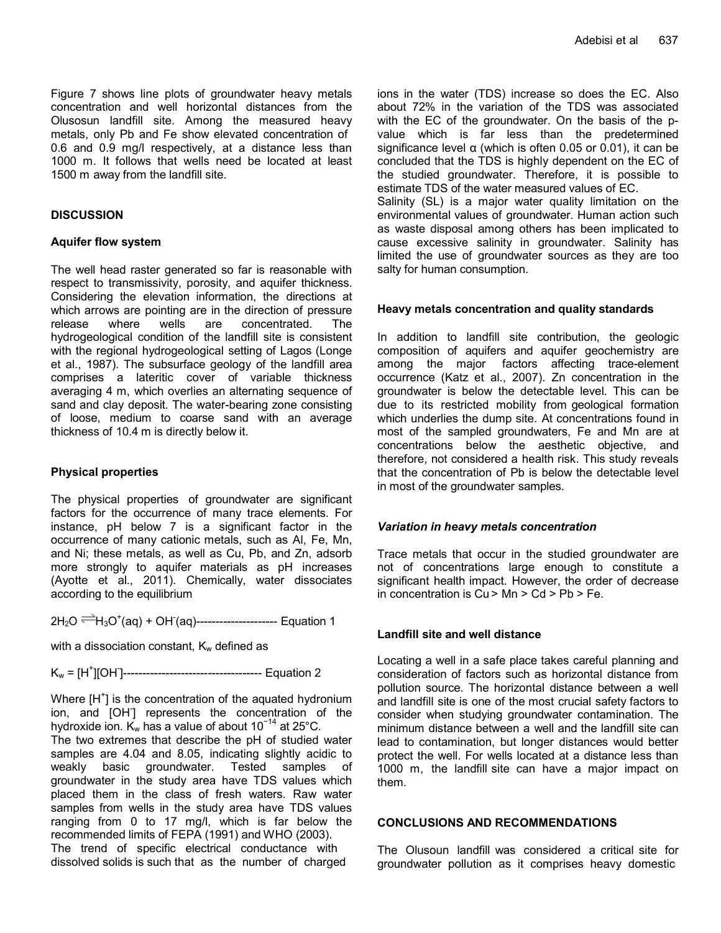Figure 7 shows line plots of groundwater heavy metals concentration and well horizontal distances from the Olusosun landfill site. Among the measured heavy metals, only Pb and Fe show elevated concentration of 0.6 and 0.9 mg/l respectively, at a distance less than 1000 m. It follows that wells need be located at least 1500 m away from the landfill site.

# **DISCUSSION**

# **Aquifer flow system**

The well head raster generated so far is reasonable with respect to transmissivity, porosity, and aquifer thickness. Considering the elevation information, the directions at which arrows are pointing are in the direction of pressure release where wells are concentrated. The hydrogeological condition of the landfill site is consistent with the regional hydrogeological setting of Lagos (Longe et al., 1987). The subsurface geology of the landfill area comprises a lateritic cover of variable thickness averaging 4 m, which overlies an alternating sequence of sand and clay deposit. The water-bearing zone consisting of loose, medium to coarse sand with an average thickness of 10.4 m is directly below it.

## **Physical properties**

The physical properties of groundwater are significant factors for the occurrence of many trace elements. For instance, pH below 7 is a significant factor in the occurrence of many cationic metals, such as Al, Fe, Mn, and Ni; these metals, as well as Cu, Pb, and Zn, adsorb more strongly to aquifer materials as pH increases (Ayotte et al., 2011). Chemically, water [dissociates](http://en.wikipedia.org/wiki/Self-ionization_of_water) according to the equilibrium

2H<sub>2</sub>O <sup>—</sup>H<sub>3</sub>O<sup>+</sup>(aq) + OH (aq)---------------------- Equation 1

with a dissociation constant,  $K_w$  defined as

Kw = [H<sup>+</sup> ][OH- ]------------------------------------ Equation 2

Where  $[H^+]$  is the concentration of the aquated [hydronium](http://en.wikipedia.org/wiki/Hydronium_ion) [ion, a](http://en.wikipedia.org/wiki/Hydronium_ion)nd [OH- ] represents the concentration of the [hydroxide ion. K](http://en.wikipedia.org/wiki/Hydroxide_ion)<sub>w</sub> has a value of about 10<sup>-14</sup> at 25°C.

The two extremes that describe the pH of studied water samples are 4.04 and 8.05, indicating slightly acidic to weakly basic groundwater. Tested samples of groundwater in the study area have TDS values which placed them in the class of fresh waters. Raw water samples from wells in the study area have TDS values ranging from 0 to 17 mg/l, which is far below the recommended limits of FEPA (1991) and WHO (2003). The trend of specific electrical conductance with dissolved solids is such that as the number of charged

ions in the water (TDS) increase so does the EC. Also about 72% in the variation of the TDS was associated with the EC of the groundwater. On the basis of the pvalue which is far less than the predetermined significance level  $\alpha$  (which is often 0.05 or 0.01), it can be concluded that the TDS is highly dependent on the EC of the studied groundwater. Therefore, it is possible to estimate TDS of the water measured values of EC.

Salinity (SL) is a major water quality limitation on the environmental values of groundwater. Human action such as waste disposal among others has been implicated to cause excessive salinity in groundwater. Salinity has limited the use of groundwater sources as they are too salty for human consumption.

### **Heavy metals concentration and quality standards**

In addition to landfill site contribution, the geologic composition of aquifers and aquifer geochemistry are among the major factors affecting trace-element occurrence (Katz et al., 2007). Zn concentration in the groundwater is below the detectable level. This can be due to its restricted mobility from geological formation which underlies the dump site. At concentrations found in most of the sampled groundwaters, Fe and Mn are at concentrations below the aesthetic objective, and therefore, not considered a health risk. This study reveals that the concentration of Pb is below the detectable level in most of the groundwater samples.

#### *Variation in heavy metals concentration*

Trace metals that occur in the studied groundwater are not of concentrations large enough to constitute a significant health impact. However, the order of decrease in concentration is  $Cu > Mn > Cd > Pb > Fe$ .

# **Landfill site and well distance**

Locating a well in a safe place takes careful planning and consideration of factors such as horizontal distance from pollution source. The horizontal distance between a well and landfill site is one of the most crucial safety factors to consider when studying groundwater contamination. The minimum distance between a well and the landfill site can lead to contamination, but longer distances would better protect the well. For wells located at a distance less than 1000 m, the landfill site can have a major impact on them.

# **CONCLUSIONS AND RECOMMENDATIONS**

The Olusoun landfill was considered a critical site for groundwater pollution as it comprises heavy domestic